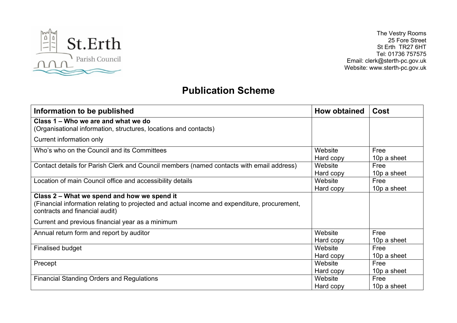

The Vestry Rooms 25 Fore Street St Erth TR27 6HT Tel: 01736 757575 Email: clerk@sterth-pc.gov.uk Website: www.sterth-pc.gov.uk

## **Publication Scheme**

| Information to be published                                                                                                                                                   | <b>How obtained</b>  | Cost                |
|-------------------------------------------------------------------------------------------------------------------------------------------------------------------------------|----------------------|---------------------|
| Class 1 – Who we are and what we do<br>(Organisational information, structures, locations and contacts)                                                                       |                      |                     |
| Current information only                                                                                                                                                      |                      |                     |
| Who's who on the Council and its Committees                                                                                                                                   | Website<br>Hard copy | Free<br>10p a sheet |
| Contact details for Parish Clerk and Council members (named contacts with email address)                                                                                      | Website<br>Hard copy | Free<br>10p a sheet |
| Location of main Council office and accessibility details                                                                                                                     | Website<br>Hard copy | Free<br>10p a sheet |
| Class 2 – What we spend and how we spend it<br>(Financial information relating to projected and actual income and expenditure, procurement,<br>contracts and financial audit) |                      |                     |
| Current and previous financial year as a minimum                                                                                                                              |                      |                     |
| Annual return form and report by auditor                                                                                                                                      | Website<br>Hard copy | Free<br>10p a sheet |
| <b>Finalised budget</b>                                                                                                                                                       | Website<br>Hard copy | Free<br>10p a sheet |
| Precept                                                                                                                                                                       | Website<br>Hard copy | Free<br>10p a sheet |
| <b>Financial Standing Orders and Regulations</b>                                                                                                                              | Website<br>Hard copy | Free<br>10p a sheet |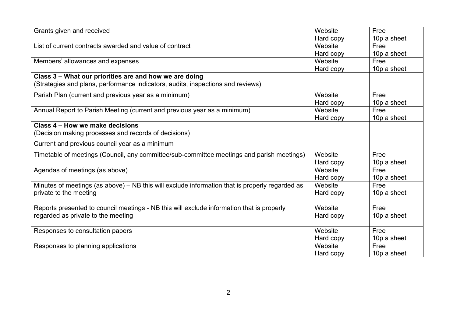| Grants given and received                                                                      | Website   | Free        |
|------------------------------------------------------------------------------------------------|-----------|-------------|
|                                                                                                | Hard copy | 10p a sheet |
| List of current contracts awarded and value of contract                                        | Website   | Free        |
|                                                                                                | Hard copy | 10p a sheet |
| Members' allowances and expenses                                                               | Website   | Free        |
|                                                                                                | Hard copy | 10p a sheet |
| Class 3 - What our priorities are and how we are doing                                         |           |             |
| (Strategies and plans, performance indicators, audits, inspections and reviews)                |           |             |
| Parish Plan (current and previous year as a minimum)                                           | Website   | Free        |
|                                                                                                | Hard copy | 10p a sheet |
| Annual Report to Parish Meeting (current and previous year as a minimum)                       | Website   | Free        |
|                                                                                                | Hard copy | 10p a sheet |
| Class 4 – How we make decisions                                                                |           |             |
| (Decision making processes and records of decisions)                                           |           |             |
| Current and previous council year as a minimum                                                 |           |             |
| Timetable of meetings (Council, any committee/sub-committee meetings and parish meetings)      | Website   | Free        |
|                                                                                                | Hard copy | 10p a sheet |
| Agendas of meetings (as above)                                                                 | Website   | Free        |
|                                                                                                | Hard copy | 10p a sheet |
| Minutes of meetings (as above) - NB this will exclude information that is properly regarded as | Website   | Free        |
| private to the meeting                                                                         | Hard copy | 10p a sheet |
|                                                                                                |           |             |
| Reports presented to council meetings - NB this will exclude information that is properly      | Website   | Free        |
| regarded as private to the meeting                                                             | Hard copy | 10p a sheet |
| Responses to consultation papers                                                               | Website   | Free        |
|                                                                                                | Hard copy | 10p a sheet |
| Responses to planning applications                                                             | Website   | Free        |
|                                                                                                | Hard copy | 10p a sheet |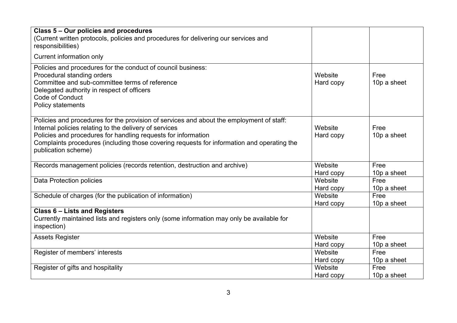| Class 5 – Our policies and procedures<br>(Current written protocols, policies and procedures for delivering our services and                                                                                                                                                                                                             |                      |                     |
|------------------------------------------------------------------------------------------------------------------------------------------------------------------------------------------------------------------------------------------------------------------------------------------------------------------------------------------|----------------------|---------------------|
| responsibilities)                                                                                                                                                                                                                                                                                                                        |                      |                     |
| Current information only                                                                                                                                                                                                                                                                                                                 |                      |                     |
| Policies and procedures for the conduct of council business:<br>Procedural standing orders<br>Committee and sub-committee terms of reference<br>Delegated authority in respect of officers<br>Code of Conduct<br>Policy statements                                                                                                       | Website<br>Hard copy | Free<br>10p a sheet |
| Policies and procedures for the provision of services and about the employment of staff:<br>Internal policies relating to the delivery of services<br>Policies and procedures for handling requests for information<br>Complaints procedures (including those covering requests for information and operating the<br>publication scheme) | Website<br>Hard copy | Free<br>10p a sheet |
| Records management policies (records retention, destruction and archive)                                                                                                                                                                                                                                                                 | Website<br>Hard copy | Free<br>10p a sheet |
| <b>Data Protection policies</b>                                                                                                                                                                                                                                                                                                          | Website<br>Hard copy | Free<br>10p a sheet |
| Schedule of charges (for the publication of information)                                                                                                                                                                                                                                                                                 | Website<br>Hard copy | Free<br>10p a sheet |
| Class 6 - Lists and Registers<br>Currently maintained lists and registers only (some information may only be available for<br>inspection)                                                                                                                                                                                                |                      |                     |
| <b>Assets Register</b>                                                                                                                                                                                                                                                                                                                   | Website<br>Hard copy | Free<br>10p a sheet |
| Register of members' interests                                                                                                                                                                                                                                                                                                           | Website<br>Hard copy | Free<br>10p a sheet |
| Register of gifts and hospitality                                                                                                                                                                                                                                                                                                        | Website<br>Hard copy | Free<br>10p a sheet |